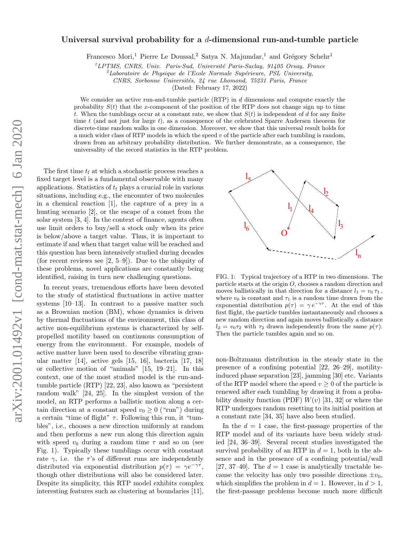## Universal survival probability for a  $d$ -dimensional run-and-tumble particle

Francesco Mori,<sup>1</sup> Pierre Le Doussal,<sup>2</sup> Satya N. Majumdar,<sup>1</sup> and Grégory Schehr<sup>1</sup>

 ${}^{1}LPTMS$ , CNRS, Univ. Paris-Sud, Université Paris-Saclay, 91405 Orsay, France

 $z<sup>2</sup>$ Laboratoire de Physique de l'Ecole Normale Supérieure, PSL University,

CNRS, Sorbonne Universités, 24 rue Lhomond, 75231 Paris, France

(Dated: February 17, 2022)

We consider an active run-and-tumble particle (RTP) in d dimensions and compute exactly the probability  $S(t)$  that the x-component of the position of the RTP does not change sign up to time t. When the tumblings occur at a constant rate, we show that  $S(t)$  is independent of d for any finite time t (and not just for large t), as a consequence of the celebrated Sparre Andersen theorem for discrete-time random walks in one dimension. Moreover, we show that this universal result holds for a much wider class of RTP models in which the speed  $v$  of the particle after each tumbling is random, drawn from an arbitrary probability distribution. We further demonstrate, as a consequence, the universality of the record statistics in the RTP problem.

The first time  $t_f$  at which a stochastic process reaches a fixed target level is a fundamental observable with many applications. Statistics of  $t_f$  plays a crucial role in various situations, including e.g., the encounter of two molecules in a chemical reaction [1], the capture of a prey in a hunting scenario [2], or the escape of a comet from the solar system [3, 4]. In the context of finance, agents often use limit orders to buy/sell a stock only when its price is below/above a target value. Thus, it is important to estimate if and when that target value will be reached and this question has been intensively studied during decades (for recent reviews see  $[2, 5-9]$ ). Due to the ubiquity of these problems, novel applications are constantly being identified, raising in turn new challenging questions.

In recent years, tremendous efforts have been devoted to the study of statistical fluctuations in active matter systems [10–13]. In contrast to a passive matter such as a Brownian motion (BM), whose dynamics is driven by thermal fluctuations of the environment, this class of active non-equilibrium systems is characterized by selfpropelled motility based on continuous consumption of energy from the environment. For example, models of active matter have been used to describe vibrating granular matter [14], active gels [15, 16], bacteria [17, 18] or collective motion of "animals" [15, 19–21]. In this context, one of the most studied model is the run-andtumble particle (RTP) [22, 23], also known as "persistent random walk" [24, 25]. In the simplest version of the model, an RTP performs a ballistic motion along a certain direction at a constant speed  $v_0 \geq 0$  ("run") during a certain "time of flight"  $\tau$ . Following this run, it "tumbles", i.e., chooses a new direction uniformly at random and then performs a new run along this direction again with speed  $v_0$  during a random time  $\tau$  and so on (see Fig. 1). Typically these tumblings occur with constant rate  $\gamma$ , i.e. the  $\tau$ 's of different runs are independently distributed via exponential distribution  $p(\tau) = \gamma e^{-\gamma \tau}$ , though other distributions will also be considered later. Despite its simplicity, this RTP model exhibits complex interesting features such as clustering at boundaries [11],



FIG. 1: Typical trajectory of a RTP in two dimensions. The particle starts at the origin O, chooses a random direction and moves ballistically in that direction for a distance  $l_1 = v_0 \tau_1$ , where  $v_0$  is constant and  $\tau_1$  is a random time drawn from the exponential distribution  $p(\tau) = \gamma e^{-\gamma \tau}$ . At the end of this first flight, the particle tumbles instantaneously and chooses a new random direction and again moves ballistically a distance  $l_2 = v_0 \tau_2$  with  $\tau_2$  drawn independently from the same  $p(\tau)$ . Then the particle tumbles again and so on.

non-Boltzmann distribution in the steady state in the presence of a confining potential [22, 26–29], motilityinduced phase separation [23], jamming [30] etc. Variants of the RTP model where the speed  $v \geq 0$  of the particle is renewed after each tumbling by drawing it from a probability density function (PDF)  $W(v)$  [31, 32] or where the RTP undergoes random resetting to its initial position at a constant rate [34, 35] have also been studied.

In the  $d = 1$  case, the first-passage properties of the RTP model and of its variants have been widely studied [24, 36–39]. Several recent studies investigated the survival probability of an RTP in  $d = 1$ , both in the absence and in the presence of a confining potential/wall [27, 37–40]. The  $d = 1$  case is analytically tractable because the velocity has only two possible directions  $\pm v_0$ , which simplifies the problem in  $d = 1$ . However, in  $d > 1$ , the first-passage problems become much more difficult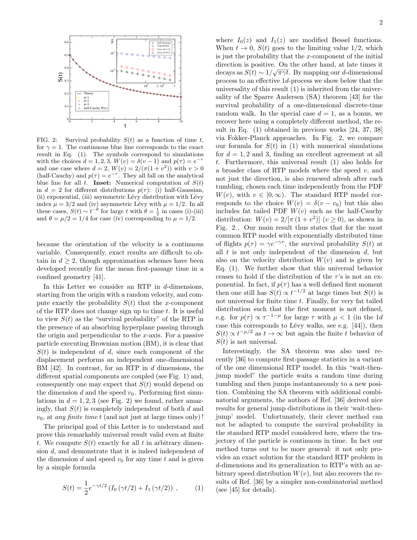

FIG. 2: Survival probability  $S(t)$  as a function of time t, for  $\gamma = 1$ . The continuous blue line corresponds to the exact result in Eq. (1). The symbols correspond to simulations with the choices  $d = 1, 2, 3, W(v) = \delta(v - 1)$  and  $p(\tau) = e^{-\tau}$ and one case where  $d = 2$ ,  $W(v) = 2/(\pi(1 + v^2))$  with  $v > 0$ (half-Cauchy) and  $p(\tau) = e^{-\tau}$ . They all fall on the analytical blue line for all t. **Inset:** Numerical computation of  $S(t)$ in  $d = 2$  for different distributions  $p(\tau)$ : (i) half-Gaussian, (ii) exponential, (iii) asymmetric Lévy distribution with Lévy index  $\mu = 3/2$  and (iv) asymmetric Lévy with  $\mu = 1/2$ . In all these cases,  $S(t) \sim t^{-\theta}$  for large t with  $\theta = \frac{1}{2}$  in cases (i)-(iii) and  $\theta = \mu/2 = 1/4$  for case (iv) corresponding to  $\mu = 1/2$ .

because the orientation of the velocity is a continuous variable. Consequently, exact results are difficult to obtain in  $d \geq 2$ , though approximation schemes have been developed recently for the mean first-passage time in a confined geometry [41].

In this Letter we consider an RTP in d-dimensions, starting from the origin with a random velocity, and compute exactly the probability  $S(t)$  that the x-component of the RTP does not change sign up to time  $t$ . It is useful to view  $S(t)$  as the "survival probability" of the RTP in the presence of an absorbing hyperplane passing through the origin and perpendicular to the  $x$ -axis. For a passive particle executing Brownian motion (BM), it is clear that  $S(t)$  is independent of d, since each component of the displacement performs an independent one-dimensional BM  $[42]$ . In contrast, for an RTP in d dimensions, the different spatial components are coupled (see Fig. 1) and, consequently one may expect that  $S(t)$  would depend on the dimension d and the speed  $v_0$ . Performing first simulations in  $d = 1, 2, 3$  (see Fig. 2) we found, rather amazingly, that  $S(t)$  is completely independent of both d and  $v_0$ , at any finite time t (and not just at large times only)!

The principal goal of this Letter is to understand and prove this remarkably universal result valid even at finite t. We compute  $S(t)$  exactly for all t in arbitrary dimension d, and demonstrate that it is indeed independent of the dimension d and speed  $v_0$  for any time t and is given by a simple formula

$$
S(t) = \frac{1}{2}e^{-\gamma t/2} \left( I_0 \left( \gamma t/2 \right) + I_1 \left( \gamma t/2 \right) \right) , \qquad (1)
$$

where  $I_0(z)$  and  $I_1(z)$  are modified Bessel functions. When  $t \to 0$ ,  $S(t)$  goes to the limiting value 1/2, which is just the probability that the  $x$ -component of the initial direction is positive. On the other hand, at late times it decays as  $S(t) \sim 1/\sqrt{\pi \gamma t}$ . By mapping our d-dimensional process to an effective 1d-process we show below that the universality of this result (1) is inherited from the universality of the Sparre Andersen (SA) theorem [43] for the survival probability of a one-dimensional discrete-time random walk. In the special case  $d = 1$ , as a bonus, we recover here using a completely different method, the result in Eq. (1) obtained in previous works [24, 37, 38] via Fokker-Planck approaches. In Fig. 2, we compare our formula for  $S(t)$  in (1) with numerical simulations for  $d = 1, 2$  and 3, finding an excellent agreement at all t. Furthermore, this universal result (1) also holds for a broader class of RTP models where the speed  $v$ , and not just the direction, is also renewed afresh after each tumbling, chosen each time independently from the PDF  $W(v)$ , with  $v \in [0,\infty)$ . The standard RTP model corresponds to the choice  $W(v) = \delta(v - v_0)$  but this also includes fat tailed PDF  $W(v)$  such as the half-Cauchy distribution:  $W(v) = 2/[\pi (1 + v^2)] (v \ge 0)$ , as shown in Fig. 2 . Our main result thus states that for the most common RTP model with exponentially distributed time of flights  $p(\tau) = \gamma e^{-\gamma \tau}$ , the survival probability  $S(t)$  at all  $t$  is not only independent of the dimension  $d$ , but also on the velocity distribution  $W(v)$  and is given by Eq. (1). We further show that this universal behavior ceases to hold if the distribution of the  $\tau$ 's is not an exponential. In fact, if  $p(\tau)$  has a well defined first moment then one still has  $S(t) \propto t^{-1/2}$  at large times but  $S(t)$  is not universal for finite time  $t$ . Finally, for very fat tailed distribution such that the first moment is not defined, e.g. for  $p(\tau) \propto \tau^{-1-\mu}$  for large  $\tau$  with  $\mu < 1$  (in the 1d case this corresponds to Lévy walks, see e.g.  $[44]$ ), then  $S(t) \propto t^{-\mu/2}$  as  $t \to \infty$  but again the finite t behavior of  $S(t)$  is not universal.

Interestingly, the SA theorem was also used recently [36] to compute first-passage statistics in a variant of the one dimensional RTP model. In this "wait-thenjump model" the particle waits a random time during tumbling and then jumps instantaneously to a new position. Combining the SA theorem with additional combinatorial arguments, the authors of Ref. [36] derived nice results for general jump distributions in their 'wait-thenjump' model. Unfortunately, their clever method can not be adapted to compute the survival probability in the standard RTP model considered here, where the trajectory of the particle is continuous in time. In fact our method turns out to be more general: it not only provides an exact solution for the standard RTP problem in d-dimensions and its generalization to RTP's with an arbitrary speed distribution  $W(v)$ , but also recovers the results of Ref. [36] by a simpler non-combinatorial method (see [45] for details).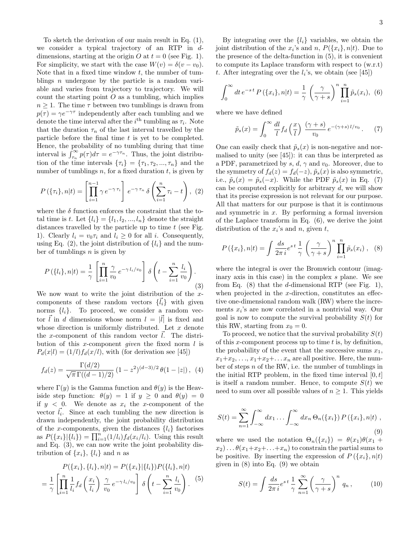To sketch the derivation of our main result in Eq. (1), we consider a typical trajectory of an RTP in ddimensions, starting at the origin O at  $t = 0$  (see Fig. 1). For simplicity, we start with the case  $W(v) = \delta(v - v_0)$ . Note that in a fixed time window  $t$ , the number of tumblings  $n$  undergone by the particle is a random variable and varies from trajectory to trajectory. We will count the starting point  $O$  as a tumbling, which implies  $n \geq 1$ . The time  $\tau$  between two tumblings is drawn from  $p(\tau) = \gamma e^{-\gamma \tau}$  independently after each tumbling and we denote the time interval after the  $i<sup>th</sup>$  tumbling as  $\tau_i$ . Note that the duration  $\tau_n$  of the last interval travelled by the particle before the final time  $t$  is yet to be completed. Hence, the probability of no tumbling during that time interval is  $\int_{\tau_n}^{\infty} p(\tau) d\tau = e^{-\gamma \tau_n}$ . Thus, the joint distribution of the time intervals  $\{\tau_i\} = \{\tau_1, \tau_2, ..., \tau_n\}$  and the number of tumblings  $n$ , for a fixed duration  $t$ , is given by

$$
P\left(\{\tau_i\}, n|t\right) = \left[\prod_{i=1}^{n-1} \gamma e^{-\gamma \tau_i}\right] e^{-\gamma \tau_n} \delta\left(\sum_{i=1}^n \tau_i - t\right), (2)
$$

where the  $\delta$  function enforces the constraint that the total time is t. Let  $\{l_i\} = \{l_1, l_2, ..., l_n\}$  denote the straight distances travelled by the particle up to time  $t$  (see Fig. 1). Clearly  $l_i = v_0 \tau_i$  and  $l_i \geq 0$  for all i. Consequently, using Eq. (2), the joint distribution of  $\{l_i\}$  and the number of tumblings  $n$  is given by

$$
P\left(\lbrace l_i \rbrace, n | t\right) = \frac{1}{\gamma} \left[ \prod_{i=1}^n \frac{\gamma}{v_0} e^{-\gamma l_i/v_0} \right] \delta \left( t - \sum_{i=1}^n \frac{l_i}{v_0} \right). \tag{3}
$$

We now want to write the joint distribution of the  $x$ components of these random vectors  $\{\vec{l}_i\}$  with given norms  $\{l_i\}$ . To proceed, we consider a random vector  $\vec{l}$  in d dimensions whose norm  $l = |\vec{l}|$  is fixed and whose direction is uniformly distributed. Let  $x$  denote the x-component of this random vector  $\vec{l}$ . The distribution of this x-component *given* the fixed norm  $l$  is  $P_d(x|l) = (1/l) f_d(x/l)$ , with (for derivation see [45])

$$
f_d(z) = \frac{\Gamma(d/2)}{\sqrt{\pi} \Gamma((d-1)/2)} \left(1 - z^2\right)^{(d-3)/2} \theta(1 - |z|), \tag{4}
$$

where  $\Gamma(y)$  is the Gamma function and  $\theta(y)$  is the Heaviside step function:  $\theta(y) = 1$  if  $y \geq 0$  and  $\theta(y) = 0$ if  $y < 0$ . We denote as  $x_i$  the x-component of the vector  $\vec{l_i}$ . Since at each tumbling the new direction is drawn independently, the joint probability distribution of the x-components, given the distances  $\{l_i\}$  factorises as  $P(\lbrace x_i \rbrace | \lbrace l_i \rbrace) = \prod_{i=1}^{n} (1/l_i) f_d(x_i/l_i)$ . Using this result and Eq. (3), we can now write the joint probability distribution of  $\{x_i\}$ ,  $\{l_i\}$  and n as

$$
P({xi}, {li}, n|t) = P({xi}|{li})P({li}, n|t)
$$
  
=  $\frac{1}{\gamma} \left[ \prod_{i=1}^{n} \frac{1}{l_i} f_d \left( \frac{x_i}{l_i} \right) \frac{\gamma}{v_0} e^{-\gamma l_i/v_0} \right] \delta \left( t - \sum_{i=1}^{n} \frac{l_i}{v_0} \right).$  (5)

By integrating over the  $\{l_i\}$  variables, we obtain the joint distribution of the  $x_i$ 's and  $n$ ,  $P({x_i}, n|t)$ . Due to the presence of the delta-function in (5), it is convenient to compute its Laplace transform with respect to (w.r.t) t. After integrating over the  $l_i$ 's, we obtain (see [45])

$$
\int_0^\infty dt \, e^{-st} P\left(\{x_i\}, n|t\right) = \frac{1}{\gamma} \left(\frac{\gamma}{\gamma + s}\right)^n \prod_{i=1}^n \tilde{p}_s(x_i), \tag{6}
$$

where we have defined

$$
\tilde{p}_s(x) = \int_0^\infty \frac{dl}{l} f_d\left(\frac{x}{l}\right) \frac{(\gamma + s)}{v_0} e^{-(\gamma + s) l/v_0} \,. \tag{7}
$$

One can easily check that  $\tilde{p}_s(x)$  is non-negative and normalised to unity (see [45]): it can thus be interpreted as a PDF, parametrized by s, d,  $\gamma$  and  $v_0$ . Moreover, due to the symmetry of  $f_d(z) = f_d(-z)$ ,  $\tilde{p}_s(x)$  is also symmetric, i.e.,  $\tilde{p}_s(x) = \tilde{p}_s(-x)$ . While the PDF  $\tilde{p}_s(x)$  in Eq. (7) can be computed explicitly for arbitrary  $d$ , we will show that its precise expression is not relevant for our purpose. All that matters for our purpose is that it is continuous and symmetric in  $x$ . By performing a formal inversion of the Laplace transform in Eq. (6), we derive the joint distribution of the  $x_i$ 's and  $n$ , given  $t$ ,

$$
P(\lbrace x_i \rbrace, n | t) = \int \frac{ds}{2\pi i} e^{st} \frac{1}{\gamma} \left(\frac{\gamma}{\gamma + s}\right)^n \prod_{i=1}^n \tilde{p}_s(x_i) , \quad (8)
$$

where the integral is over the Bromwich contour (imaginary axis in this case) in the complex s plane. We see from Eq.  $(8)$  that the *d*-dimensional RTP (see Fig. 1), when projected in the  $x$ -direction, constitutes an effective one-dimensional random walk (RW) where the increments  $x_i$ 's are now correlated in a nontrivial way. Our goal is now to compute the survival probability  $S(t)$  for this RW, starting from  $x_0 = 0$ .

To proceed, we notice that the survival probability  $S(t)$ of this x-component process up to time  $t$  is, by definition, the probability of the event that the successive sums  $x_1$ ,  $x_1+x_2, \ldots, x_1+x_2+\ldots x_n$  are all positive. Here, the number of steps n of the RW, i.e. the number of tumblings in the initial RTP problem, in the fixed time interval  $[0, t]$ is itself a random number. Hence, to compute  $S(t)$  we need to sum over all possible values of  $n \geq 1$ . This yields

$$
S(t) = \sum_{n=1}^{\infty} \int_{-\infty}^{\infty} dx_1 \dots \int_{-\infty}^{\infty} dx_n \Theta_n(\{x_i\}) P(\{x_i\}, n | t),
$$
\n(9)

where we used the notation  $\Theta_n({x_i}) = \theta(x_1)\theta(x_1 +$  $x_2$ )...  $\theta(x_1+x_2+\ldots+x_n)$  to constrain the partial sums to be positive. By inserting the expression of  $P({x_i}, n|t)$ given in  $(8)$  into Eq.  $(9)$  we obtain

$$
S(t) = \int \frac{ds}{2\pi i} e^{st} \frac{1}{\gamma} \sum_{n=1}^{\infty} \left(\frac{\gamma}{\gamma + s}\right)^n q_n , \qquad (10)
$$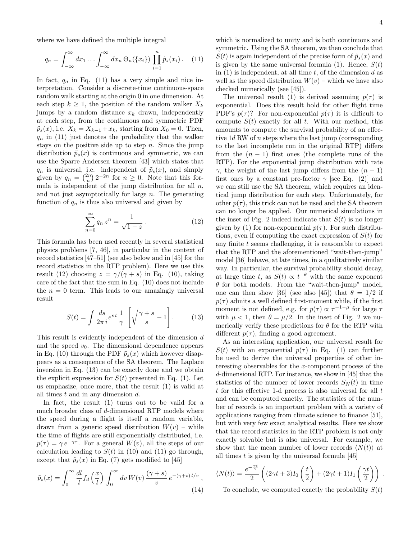where we have defined the multiple integral

$$
q_n = \int_{-\infty}^{\infty} dx_1 \dots \int_{-\infty}^{\infty} dx_n \, \Theta_n(\{x_i\}) \prod_{i=1}^n \tilde{p}_s(x_i). \tag{11}
$$

In fact,  $q_n$  in Eq. (11) has a very simple and nice interpretation. Consider a discrete-time continuous-space random walk starting at the origin 0 in one dimension. At each step  $k \geq 1$ , the position of the random walker  $X_k$ jumps by a random distance  $x_k$  drawn, independently at each step, from the continuous and symmetric PDF  $\tilde{p}_s(x)$ , i.e.  $X_k = X_{k-1} + x_k$ , starting from  $X_0 = 0$ . Then,  $q_n$  in (11) just denotes the probability that the walker stays on the positive side up to step  $n$ . Since the jump distribution  $\tilde{p}_s(x)$  is continuous and symmetric, we can use the Sparre Andersen theorem [43] which states that  $q_n$  is universal, i.e. independent of  $\tilde{p}_s(x)$ , and simply given by  $q_n = \binom{2n}{n} 2^{-2n}$  for  $n \ge 0$ . Note that this formula is independent of the jump distribution for all  $n$ , and not just asymptotically for large  $n$ . The generating function of  $q_n$  is thus also universal and given by

$$
\sum_{n=0}^{\infty} q_n z^n = \frac{1}{\sqrt{1-z}}.
$$
 (12)

This formula has been used recently in several statistical physics problems [7, 46], in particular in the context of record statistics [47–51] (see also below and in [45] for the record statistics in the RTP problem). Here we use this result (12) choosing  $z = \gamma/(\gamma + s)$  in Eq. (10), taking care of the fact that the sum in Eq. (10) does not include the  $n = 0$  term. This leads to our amazingly universal result

$$
S(t) = \int \frac{ds}{2\pi i} e^{st} \frac{1}{\gamma} \left[ \sqrt{\frac{\gamma + s}{s}} - 1 \right]. \tag{13}
$$

This result is evidently independent of the dimension d and the speed  $v_0$ . The dimensional dependence appears in Eq. (10) through the PDF  $\tilde{p}_s(x)$  which however disappears as a consequence of the SA theorem. The Laplace inversion in Eq. (13) can be exactly done and we obtain the explicit expression for  $S(t)$  presented in Eq. (1). Let us emphasize, once more, that the result (1) is valid at all times  $t$  and in any dimension  $d$ .

In fact, the result (1) turns out to be valid for a much broader class of d-dimensional RTP models where the speed during a flight is itself a random variable, drawn from a generic speed distribution  $W(v)$  – while the time of flights are still exponentially distributed, i.e.  $p(\tau) = \gamma e^{-\gamma \tau}$ . For a general  $W(v)$ , all the steps of our calculation leading to  $S(t)$  in (10) and (11) go through, except that  $\tilde{p}_s(x)$  in Eq. (7) gets modified to [45]

$$
\tilde{p}_s(x) = \int_0^\infty \frac{dl}{l} f_d\left(\frac{x}{l}\right) \int_0^\infty dv \, W(v) \, \frac{(\gamma + s)}{v} \, e^{-(\gamma + s) \, l/v} \,,\tag{14}
$$

which is normalized to unity and is both continuous and symmetric. Using the SA theorem, we then conclude that  $S(t)$  is again independent of the precise form of  $\tilde{p}_s(x)$  and is given by the same universal formula (1). Hence,  $S(t)$ in  $(1)$  is independent, at all time t, of the dimension d as well as the speed distribution  $W(v)$  – which we have also checked numerically (see [45]).

The universal result (1) is derived assuming  $p(\tau)$  is exponential. Does this result hold for other flight time PDF's  $p(\tau)$ ? For non-exponential  $p(\tau)$  it is difficult to compute  $S(t)$  exactly for all t. With our method, this amounts to compute the survival probability of an effective 1d RW of n steps where the last jump (corresponding to the last incomplete run in the original RTP) differs from the  $(n - 1)$  first ones (the complete runs of the RTP). For the exponential jump distribution with rate γ, the weight of the last jump differs from the  $(n-1)$ first ones by a constant pre-factor  $\gamma$  [see Eq. (2)] and we can still use the SA theorem, which requires an identical jump distribution for each step. Unfortunately, for other  $p(\tau)$ , this trick can not be used and the SA theorem can no longer be applied. Our numerical simulations in the inset of Fig. 2 indeed indicate that  $S(t)$  is no longer given by (1) for non-exponential  $p(\tau)$ . For such distributions, even if computing the exact expression of  $S(t)$  for any finite  $t$  seems challenging, it is reasonable to expect that the RTP and the aforementioned "wait-then-jump" model [36] behave, at late times, in a qualitatively similar way. In particular, the survival probability should decay, at large time t, as  $S(t) \propto t^{-\theta}$  with the same exponent  $\theta$  for both models. From the "wait-then-jump" model, one can then show [36] (see also [45]) that  $\theta = 1/2$  if  $p(\tau)$  admits a well defined first-moment while, if the first moment is not defined, e.g. for  $p(\tau) \propto \tau^{-1-\mu}$  for large  $\tau$ with  $\mu < 1$ , then  $\theta = \mu/2$ . In the inset of Fig. 2 we numerically verify these predictions for  $\theta$  for the RTP with different  $p(\tau)$ , finding a good agreement.

As an interesting application, our universal result for  $S(t)$  with an exponential  $p(\tau)$  in Eq. (1) can further be used to derive the universal properties of other interesting observables for the x-component process of the d-dimensional RTP. For instance, we show in [45] that the statistics of the number of lower records  $S_N(t)$  in time  $t$  for this effective 1-d process is also universal for all  $t$ and can be computed exactly. The statistics of the number of records is an important problem with a variety of applications ranging from climate science to finance [51], but with very few exact analytical results. Here we show that the record statistics in the RTP problem is not only exactly solvable but is also universal. For example, we show that the mean number of lower records  $\langle N(t) \rangle$  at all times  $t$  is given by the universal formula [45]

$$
\langle N(t) \rangle = \frac{e^{-\frac{\gamma t}{2}}}{2} \left( (2\gamma t + 3) I_0 \left( \frac{t}{2} \right) + (2\gamma t + 1) I_1 \left( \frac{\gamma t}{2} \right) \right) .
$$

To conclude, we computed exactly the probability  $S(t)$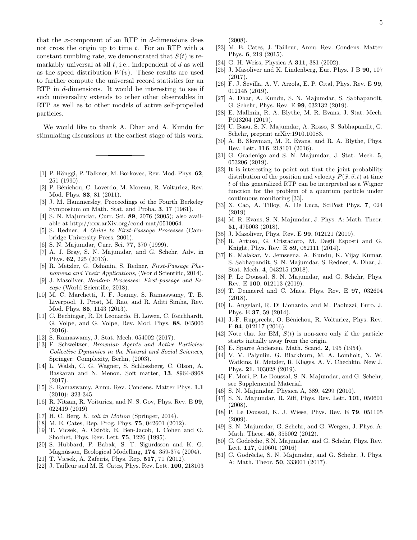that the x-component of an RTP in  $d$ -dimensions does not cross the origin up to time  $t$ . For an RTP with a constant tumbling rate, we demonstrated that  $S(t)$  is remarkably universal at all  $t$ , i.e., independent of  $d$  as well as the speed distribution  $W(v)$ . These results are used to further compute the universal record statistics for an RTP in d-dimensions. It would be interesting to see if such universality extends to other other observables in RTP as well as to other models of active self-propelled particles.

We would like to thank A. Dhar and A. Kundu for stimulating discussions at the earliest stage of this work.

- [1] P. Hänggi, P. Talkner, M. Borkovec, Rev. Mod. Phys. 62, 251 (1990).
- [2] P. Bénichou, C. Loverdo, M. Moreau, R. Voituriez, Rev. Mod. Phys. 83, 81 (2011).
- [3] J. M. Hammersley, Proceedings of the Fourth Berkeley Symposium on Math. Stat. and Proba. 3, 17 (1961).
- [4] S. N. Majumdar, Curr. Sci. 89, 2076 (2005); also available at http://xxx.arXiv.org/cond-mat/0510064.
- [5] S. Redner, A Guide to First-Passage Processes (Cambridge University Press, 2001).
- [6] S. N. Majumdar, Curr. Sci. 77, 370 (1999).
- [7] A. J. Bray, S. N. Majumdar, and G. Schehr, Adv. in Phys. 62, 225 (2013).
- [8] R. Metzler, G. Oshanin, S. Redner, First-Passage Phenomena and Their Applications, (World Scientific, 2014).
- [9] J. Masoliver, Random Processes: First-passage and Escape (World Scientific, 2018).
- [10] M. C. Marchetti, J. F. Joanny, S. Ramaswamy, T. B. Liverpool, J. Prost, M. Rao, and R. Aditi Simha, Rev. Mod. Phys. 85, 1143 (2013).
- [11] C. Bechinger, R. Di Leonardo, H. Löwen, C. Reichhardt, G. Volpe, and G. Volpe, Rev. Mod. Phys. 88, 045006 (2016).
- [12] S. Ramaswamy, J. Stat. Mech. 054002 (2017).
- [13] F. Schweitzer, Brownian Agents and Active Particles: Collective Dynamics in the Natural and Social Sciences, Springer: Complexity, Berlin, (2003).
- [14] L. Walsh, C. G. Wagner, S. Schlossberg, C. Olson, A. Baskaran and N. Menon, Soft matter, 13, 8964-8968 (2017).
- [15] S. Ramaswamy, Annu. Rev. Condens. Matter Phys. 1.1 (2010): 323-345.
- [16] R. Nitzan, R. Voituriez, and N. S. Gov, Phys. Rev. E 99, 022419 (2019)
- [17] H. C. Berg, E. coli in Motion (Springer, 2014).
- [18] M. E. Cates, Rep. Prog. Phys. **75**, 042601 (2012).
- [19] T. Vicsek, A. Czirók, E. Ben-Jacob, I. Cohen and O. Shochet, Phys. Rev. Lett. 75, 1226 (1995).
- [20] S. Hubbard, P. Babak, S. T. Sigurdsson and K. G. Magnússon, Ecological Modelling, 174, 359-374 (2004).
- [21] T. Vicsek, A. Zafeiris, Phys. Rep. 517, 71 (2012).
- [22] J. Tailleur and M. E. Cates, Phys. Rev. Lett. 100, 218103

(2008).

- [23] M. E. Cates, J. Tailleur, Annu. Rev. Condens. Matter Phys. 6, 219 (2015).
- [24] G. H. Weiss, Physica A **311**, 381 (2002).
- [25] J. Masoliver and K. Lindenberg, Eur. Phys. J B 90, 107 (2017).
- [26] F. J. Sevilla, A. V. Arzola, E. P. Cital, Phys. Rev. E 99, 012145 (2019).
- [27] A. Dhar, A. Kundu, S. N. Majumdar, S. Sabhapandit, G. Schehr, Phys. Rev. E 99, 032132 (2019).
- [28] E. Mallmin, R. A. Blythe, M. R. Evans, J. Stat. Mech. P013204 (2019).
- [29] U. Basu, S. N. Majumdar, A. Rosso, S. Sabhapandit, G. Schehr, preprint arXiv:1910.10083.
- [30] A. B. Slowman, M. R. Evans, and R. A. Blythe, Phys. Rev. Lett. 116, 218101 (2016).
- [31] G. Gradenigo and S. N. Majumdar, J. Stat. Mech. 5, 053206 (2019).
- [32] It is interesting to point out that the joint probability distribution of the position and velocity  $P(\vec{x}, \vec{v}, t)$  at time t of this generalized RTP can be interpreted as a Wigner function for the problem of a quantum particle under continuous monitoring [33].
- [33] X. Cao, A. Tilloy, A. De Luca, SciPost Phys. 7, 024 (2019)
- [34] M. R. Evans, S. N. Majumdar, J. Phys. A: Math. Theor. 51, 475003 (2018).
- [35] J. Masoliver, Phys. Rev. E **99**, 012121 (2019).
- [36] R. Artuso, G. Cristadoro, M. Degli Esposti and G. Knight, Phys. Rev. E 89, 052111 (2014).
- [37] K. Malakar, V. Jemseena, A. Kundu, K. Vijay Kumar, S. Sabhapandit, S. N. Majumdar, S. Redner, A. Dhar, J. Stat. Mech. 4, 043215 (2018).
- [38] P. Le Doussal, S. N. Majumdar, and G. Schehr, Phys. Rev. E 100, 012113 (2019).
- [39] T. Demaerel and C. Maes, Phys. Rev. E 97, 032604 (2018).
- [40] L. Angelani, R. Di Lionardo, and M. Paoluzzi, Euro. J. Phys. E 37, 59 (2014).
- [41] J.-F. Rupprecht, O. Bénichou, R. Voituriez, Phys. Rev. E 94, 012117 (2016).
- [42] Note that for BM,  $S(t)$  is non-zero only if the particle starts initially away from the origin.
- [43] E. Sparre Andersen, Math. Scand. 2, 195 (1954).
- [44] V. V. Palyulin, G. Blackburn, M. A. Lomholt, N. W. Watkins, R. Metzler, R. Klages, A. V. Chechkin, New J. Phys. 21, 103028 (2019).
- [45] F. Mori, P. Le Doussal, S. N. Majumdar, and G. Schehr, see Supplemental Material.
- [46] S. N. Majumdar, Physica A, 389, 4299 (2010).
- [47] S. N. Majumdar, R. Ziff, Phys. Rev. Lett. 101, 050601 (2008).
- [48] P. Le Doussal, K. J. Wiese, Phys. Rev. E 79, 051105 (2009).
- [49] S. N. Majumdar, G. Schehr, and G. Wergen, J. Phys. A: Math. Theor. 45, 355002 (2012).
- [50] C. Godrèche, S.N. Majumdar, and G. Schehr, Phys. Rev. Lett. 117, 010601 (2016)
- [51] C. Godrèche, S. N. Majumdar, and G. Schehr, J. Phys. A: Math. Theor. 50, 333001 (2017).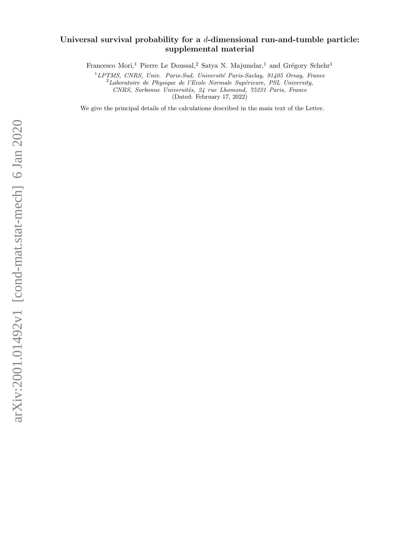# Universal survival probability for a  $d$ -dimensional run-and-tumble particle: supplemental material

Francesco Mori,<sup>1</sup> Pierre Le Doussal,<sup>2</sup> Satya N. Majumdar,<sup>1</sup> and Grégory Schehr<sup>1</sup>

 $1$ LPTMS, CNRS, Univ. Paris-Sud, Université Paris-Saclay, 91405 Orsay, France

 $2$ Laboratoire de Physique de l'Ecole Normale Supérieure, PSL University,

CNRS, Sorbonne Universités, 24 rue Lhomond, 75231 Paris, France

(Dated: February 17, 2022)

We give the principal details of the calculations described in the main text of the Letter.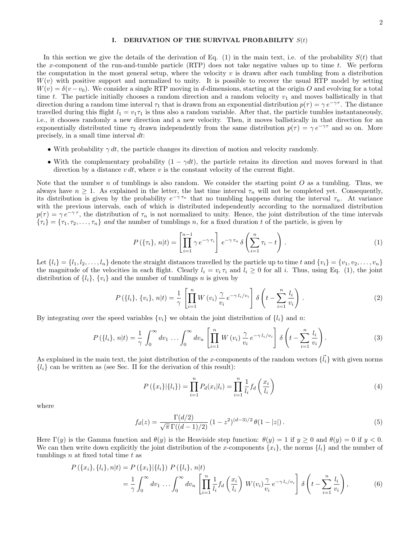#### I. DERIVATION OF THE SURVIVAL PROBABILITY  $S(t)$

In this section we give the details of the derivation of Eq. (1) in the main text, i.e. of the probability  $S(t)$  that the x-component of the run-and-tumble particle (RTP) does not take negative values up to time  $t$ . We perform the computation in the most general setup, where the velocity  $v$  is drawn after each tumbling from a distribution  $W(v)$  with positive support and normalized to unity. It is possible to recover the usual RTP model by setting  $W(v) = \delta(v - v_0)$ . We consider a single RTP moving in d-dimensions, starting at the origin O and evolving for a total time t. The particle initially chooses a random direction and a random velocity  $v_1$  and moves ballistically in that direction during a random time interval  $\tau_1$  that is drawn from an exponential distribution  $p(\tau) = \gamma e^{-\gamma \tau}$ . The distance travelled during this flight  $l_1 = v_1 \tau_1$  is thus also a random variable. After that, the particle tumbles instantaneously, i.e., it chooses randomly a new direction and a new velocity. Then, it moves ballistically in that direction for an exponentially distributed time  $\tau_2$  drawn independently from the same distribution  $p(\tau) = \gamma e^{-\gamma \tau}$  and so on. More precisely, in a small time interval dt:

- With probability  $\gamma dt$ , the particle changes its direction of motion and velocity randomly.
- With the complementary probability  $(1 \gamma dt)$ , the particle retains its direction and moves forward in that direction by a distance  $v dt$ , where  $v$  is the constant velocity of the current flight.

Note that the number  $n$  of tumblings is also random. We consider the starting point  $O$  as a tumbling. Thus, we always have  $n \geq 1$ . As explained in the letter, the last time interval  $\tau_n$  will not be completed yet. Consequently, its distribution is given by the probability  $e^{-\gamma \tau_n}$  that no tumbling happens during the interval  $\tau_n$ . At variance with the previous intervals, each of which is distributed independently according to the normalized distribution  $p(\tau) = \gamma e^{-\gamma \tau}$ , the distribution of  $\tau_n$  is not normalized to unity. Hence, the joint distribution of the time intervals  ${\tau_i} = {\tau_1, \tau_2, \ldots, \tau_n}$  and the number of tumblings n, for a fixed duration t of the particle, is given by

$$
P(\{\tau_i\}, n|t) = \left[\prod_{i=1}^{n-1} \gamma e^{-\gamma \tau_i}\right] e^{-\gamma \tau_n} \delta\left(\sum_{i=1}^n \tau_i - t\right). \tag{1}
$$

Let  $\{l_i\} = \{l_1, l_2, \ldots, l_n\}$  denote the straight distances travelled by the particle up to time t and  $\{v_i\} = \{v_1, v_2, \ldots, v_n\}$ the magnitude of the velocities in each flight. Clearly  $l_i = v_i \tau_i$  and  $l_i \geq 0$  for all i. Thus, using Eq. (1), the joint distribution of  $\{l_i\}$ ,  $\{v_i\}$  and the number of tumblings *n* is given by

$$
P(\{l_i\}, \{v_i\}, n|t) = \frac{1}{\gamma} \left[ \prod_{i=1}^n W(v_i) \frac{\gamma}{v_i} e^{-\gamma l_i/v_i} \right] \delta \left( t - \sum_{i=1}^n \frac{l_i}{v_i} \right). \tag{2}
$$

By integrating over the speed variables  ${v_i}$  we obtain the joint distribution of  ${l_i}$  and n:

$$
P\left(\lbrace l_i \rbrace, n | t \right) = \frac{1}{\gamma} \int_0^\infty dv_1 \dots \int_0^\infty dv_n \left[ \prod_{i=1}^n W\left(v_i\right) \frac{\gamma}{v_i} e^{-\gamma l_i/v_i} \right] \delta\left(t - \sum_{i=1}^n \frac{l_i}{v_i}\right). \tag{3}
$$

As explained in the main text, the joint distribution of the x-components of the random vectors  $\{\vec{l}_i\}$  with given norms  ${l_i}$  can be written as (see Sec. II for the derivation of this result):

$$
P(\{x_i\}|\{l_i\}) = \prod_{i=1}^n P_d(x_i|l_i) = \prod_{i=1}^n \frac{1}{l_i} f_d\left(\frac{x_i}{l_i}\right)
$$
\n(4)

where

$$
f_d(z) = \frac{\Gamma(d/2)}{\sqrt{\pi} \Gamma((d-1)/2)} \left(1 - z^2\right)^{(d-3)/2} \theta(1 - |z|). \tag{5}
$$

Here  $\Gamma(y)$  is the Gamma function and  $\theta(y)$  is the Heaviside step function:  $\theta(y) = 1$  if  $y \ge 0$  and  $\theta(y) = 0$  if  $y < 0$ . We can then write down explicitly the joint distribution of the x-components  $\{x_i\}$ , the norms  $\{l_i\}$  and the number of tumblings  $n$  at fixed total time  $t$  as

$$
P(\lbrace x_i \rbrace, \lbrace l_i \rbrace, n | t) = P(\lbrace x_i \rbrace | \lbrace l_i \rbrace) P(\lbrace l_i \rbrace, n | t) = \frac{1}{\gamma} \int_0^\infty dv_1 \dots \int_0^\infty dv_n \left[ \prod_{i=1}^n \frac{1}{l_i} f_d \left( \frac{x_i}{l_i} \right) W(v_i) \frac{\gamma}{v_i} e^{-\gamma l_i/v_i} \right] \delta \left( t - \sum_{i=1}^n \frac{l_i}{v_i} \right),
$$
(6)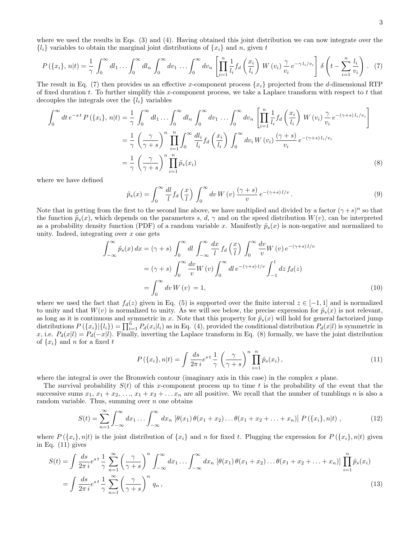$$
P(\lbrace x_i \rbrace, n | t) = \frac{1}{\gamma} \int_0^\infty dl_1 \dots \int_0^\infty dl_n \int_0^\infty dv_1 \dots \int_0^\infty dv_n \left[ \prod_{i=1}^n \frac{1}{l_i} f_d \left( \frac{x_i}{l_i} \right) W(v_i) \frac{\gamma}{v_i} e^{-\gamma l_i/v_i} \right] \delta \left( t - \sum_{i=1}^n \frac{l_i}{v_i} \right). \tag{7}
$$

The result in Eq. (7) then provides us an effective x-component process  $\{x_i\}$  projected from the d-dimensional RTP of fixed duration  $t$ . To further simplify this x-component process, we take a Laplace transform with respect to  $t$  that decouples the integrals over the  $\{l_i\}$  variables

$$
\int_0^\infty dt \, e^{-st} P(\{x_i\}, n|t) = \frac{1}{\gamma} \int_0^\infty dl_1 \dots \int_0^\infty dl_n \int_0^\infty dv_1 \dots \int_0^\infty dv_n \left[ \prod_{i=1}^n \frac{1}{l_i} f_d \left( \frac{x_i}{l_i} \right) W(v_i) \frac{\gamma}{v_i} e^{-(\gamma+s) l_i/v_i} \right]
$$

$$
= \frac{1}{\gamma} \left( \frac{\gamma}{\gamma+s} \right)^n \prod_{i=1}^n \int_0^\infty \frac{dl_i}{l_i} f_d \left( \frac{x_i}{l_i} \right) \int_0^\infty dv_i W(v_i) \frac{(\gamma+s)}{v_i} e^{-(\gamma+s) l_i/v_i}
$$

$$
= \frac{1}{\gamma} \left( \frac{\gamma}{\gamma+s} \right)^n \prod_{i=1}^n \tilde{p}_s(x_i)
$$
(8)

where we have defined

$$
\tilde{p}_s(x) = \int_0^\infty \frac{dl}{l} f_d\left(\frac{x}{l}\right) \int_0^\infty dv \, W\left(v\right) \frac{(\gamma + s)}{v} \, e^{-(\gamma + s) \, l/v} \,. \tag{9}
$$

Note that in getting from the first to the second line above, we have multiplied and divided by a factor  $(\gamma + s)^n$  so that the function  $\tilde{p}_s(x)$ , which depends on the parameters s, d,  $\gamma$  and on the speed distribution  $W(v)$ , can be interpreted as a probability density function (PDF) of a random variable x. Manifestly  $\tilde{p}_s(x)$  is non-negative and normalized to unity. Indeed, integrating over  $x$  one gets

$$
\int_{-\infty}^{\infty} \tilde{p}_s(x) dx = (\gamma + s) \int_0^{\infty} dl \int_{-\infty}^{\infty} \frac{dx}{l} f_d\left(\frac{x}{l}\right) \int_0^{\infty} \frac{dv}{v} W(v) e^{-(\gamma + s) l/v}
$$

$$
= (\gamma + s) \int_0^{\infty} \frac{dv}{v} W(v) \int_0^{\infty} dl e^{-(\gamma + s) l/v} \int_{-1}^1 dz f_d(z)
$$

$$
= \int_0^{\infty} dv W(v) = 1,
$$
(10)

where we used the fact that  $f_d(z)$  given in Eq. (5) is supported over the finite interval  $z \in [-1,1]$  and is normalized to unity and that  $W(v)$  is normalized to unity. As we will see below, the precise expression for  $\tilde{p}_s(x)$  is not relevant, as long as it is continuous and symmetric in x. Note that this property for  $\tilde{p}_s(x)$  will hold for general factorized jump distributions  $P(\lbrace x_i \rbrace | \lbrace l_i \rbrace) = \prod_{i=1}^{n} P_d(x_i | l_i)$  as in Eq. (4), provided the conditional distribution  $P_d(x | l)$  is symmetric in x, i.e.  $P_d(x|l) = P_d(-x|l)$ . Finally, inverting the Laplace transform in Eq. (8) formally, we have the joint distribution of  $\{x_i\}$  and n for a fixed t

$$
P(\{x_i\}, n|t) = \int \frac{ds}{2\pi i} e^{st} \frac{1}{\gamma} \left(\frac{\gamma}{\gamma + s}\right)^n \prod_{i=1}^n \tilde{p}_s(x_i), \qquad (11)
$$

where the integral is over the Bromwich contour (imaginary axis in this case) in the complex s plane.

The survival probability  $S(t)$  of this x-component process up to time t is the probability of the event that the successive sums  $x_1, x_1 + x_2, \ldots, x_1 + x_2 + \ldots + x_n$  are all positive. We recall that the number of tumblings n is also a random variable. Thus, summing over  $n$  one obtains

$$
S(t) = \sum_{n=1}^{\infty} \int_{-\infty}^{\infty} dx_1 \dots \int_{-\infty}^{\infty} dx_n \, [\theta(x_1) \, \theta(x_1 + x_2) \dots \theta(x_1 + x_2 + \dots + x_n)] \, P(\{x_i\}, n|t) \,, \tag{12}
$$

where  $P(\{x_i\}, n|t)$  is the joint distribution of  $\{x_i\}$  and n for fixed t. Plugging the expression for  $P(\{x_i\}, n|t)$  given in Eq. (11) gives

$$
S(t) = \int \frac{ds}{2\pi i} e^{st} \frac{1}{\gamma} \sum_{n=1}^{\infty} \left(\frac{\gamma}{\gamma + s}\right)^n \int_{-\infty}^{\infty} dx_1 \dots \int_{-\infty}^{\infty} dx_n \left[\theta(x_1) \theta(x_1 + x_2) \dots \theta(x_1 + x_2 + \dots + x_n)\right] \prod_{i=1}^n \tilde{p}_s(x_i)
$$

$$
= \int \frac{ds}{2\pi i} e^{st} \frac{1}{\gamma} \sum_{n=1}^{\infty} \left(\frac{\gamma}{\gamma + s}\right)^n q_n,
$$
(13)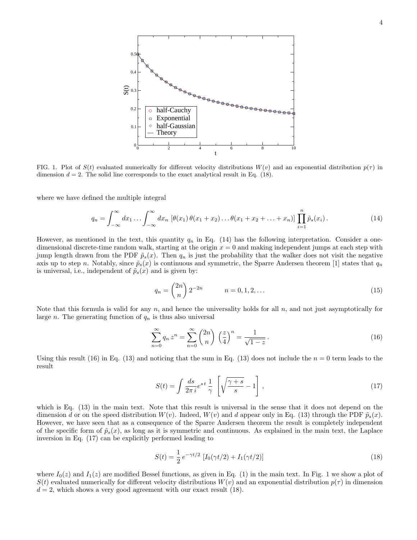

FIG. 1. Plot of  $S(t)$  evaluated numerically for different velocity distributions  $W(v)$  and an exponential distribution  $p(\tau)$  in dimension  $d = 2$ . The solid line corresponds to the exact analytical result in Eq. (18).

where we have defined the multiple integral

$$
q_n = \int_{-\infty}^{\infty} dx_1 \dots \int_{-\infty}^{\infty} dx_n \, \left[ \theta(x_1) \, \theta(x_1 + x_2) \dots \theta(x_1 + x_2 + \dots + x_n) \right] \, \prod_{i=1}^n \tilde{p}_s(x_i). \tag{14}
$$

However, as mentioned in the text, this quantity  $q_n$  in Eq. (14) has the following interpretation. Consider a onedimensional discrete-time random walk, starting at the origin  $x = 0$  and making independent jumps at each step with jump length drawn from the PDF  $\tilde{p}_s(x)$ . Then  $q_n$  is just the probability that the walker does not visit the negative axis up to step n. Notably, since  $\tilde{p}_s(x)$  is continuous and symmetric, the Sparre Andersen theorem [1] states that  $q_n$ is universal, i.e., independent of  $\tilde{p}_s(x)$  and is given by:

$$
q_n = \binom{2n}{n} 2^{-2n} \qquad n = 0, 1, 2, \dots \tag{15}
$$

Note that this formula is valid for any n, and hence the universality holds for all  $n$ , and not just asymptotically for large *n*. The generating function of  $q_n$  is thus also universal

$$
\sum_{n=0}^{\infty} q_n z^n = \sum_{n=0}^{\infty} \binom{2n}{n} \left(\frac{z}{4}\right)^n = \frac{1}{\sqrt{1-z}}.
$$
\n(16)

Using this result (16) in Eq. (13) and noticing that the sum in Eq. (13) does not include the  $n = 0$  term leads to the result

$$
S(t) = \int \frac{ds}{2\pi i} e^{st} \frac{1}{\gamma} \left[ \sqrt{\frac{\gamma + s}{s}} - 1 \right],
$$
\n(17)

which is Eq. (13) in the main text. Note that this result is universal in the sense that it does not depend on the dimension d or on the speed distribution  $W(v)$ . Indeed,  $W(v)$  and d appear only in Eq. (13) through the PDF  $\tilde{p}_s(x)$ . However, we have seen that as a consequence of the Sparre Andersen theorem the result is completely independent of the specific form of  $\tilde{p}_s(x)$ , as long as it is symmetric and continuous. As explained in the main text, the Laplace inversion in Eq. (17) can be explicitly performed leading to

$$
S(t) = \frac{1}{2} e^{-\gamma t/2} \left[ I_0(\gamma t/2) + I_1(\gamma t/2) \right]
$$
\n(18)

where  $I_0(z)$  and  $I_1(z)$  are modified Bessel functions, as given in Eq. (1) in the main text. In Fig. 1 we show a plot of  $S(t)$  evaluated numerically for different velocity distributions  $W(v)$  and an exponential distribution  $p(\tau)$  in dimension  $d = 2$ , which shows a very good agreement with our exact result (18).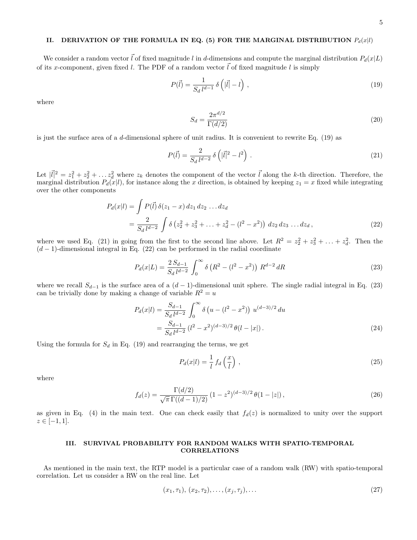# II. DERIVATION OF THE FORMULA IN EQ. (5) FOR THE MARGINAL DISTRIBUTION  $P_d(x|l)$

We consider a random vector  $\vec{l}$  of fixed magnitude l in d-dimensions and compute the marginal distribution  $P_d(x|L)$ of its x-component, given fixed l. The PDF of a random vector  $\vec{l}$  of fixed magnitude l is simply

$$
P(\vec{l}) = \frac{1}{S_d \, l^{d-1}} \, \delta\left(|\vec{l}| - l\right) \,,\tag{19}
$$

where

$$
S_d = \frac{2\pi^{d/2}}{\Gamma(d/2)}\tag{20}
$$

is just the surface area of a d-dimensional sphere of unit radius. It is convenient to rewrite Eq. (19) as

$$
P(\vec{l}) = \frac{2}{S_d \, l^{d-2}} \, \delta\left(|\vec{l}|^2 - l^2\right) \,. \tag{21}
$$

Let  $|\vec{l}|^2 = z_1^2 + z_2^2 + \ldots + z_d^2$  where  $z_k$  denotes the component of the vector  $\vec{l}$  along the k-th direction. Therefore, the marginal distribution  $P_d(x|l)$ , for instance along the x direction, is obtained by keeping  $z_1 = x$  fixed while integrating over the other components

$$
P_d(x|l) = \int P(\vec{l}) \,\delta(z_1 - x) \, dz_1 \, dz_2 \dots dz_d
$$
  
= 
$$
\frac{2}{S_d \, l^{d-2}} \int \delta(z_2^2 + z_3^2 + \dots + z_d^2 - (l^2 - x^2)) \, dz_2 \, dz_3 \dots dz_d,
$$
 (22)

where we used Eq. (21) in going from the first to the second line above. Let  $R^2 = z_2^2 + z_3^2 + \ldots + z_d^2$ . Then the  $(d-1)$ -dimensional integral in Eq. (22) can be performed in the radial coordinate

$$
P_d(x|L) = \frac{2 S_{d-1}}{S_d l^{d-2}} \int_0^\infty \delta(R^2 - (l^2 - x^2)) R^{d-2} dR
$$
 (23)

where we recall  $S_{d-1}$  is the surface area of a  $(d-1)$ -dimensional unit sphere. The single radial integral in Eq. (23) can be trivially done by making a change of variable  $R^2 = u$ 

$$
P_d(x|l) = \frac{S_{d-1}}{S_d l^{d-2}} \int_0^\infty \delta\left(u - (l^2 - x^2)\right) u^{(d-3)/2} du
$$
  
= 
$$
\frac{S_{d-1}}{S_d l^{d-2}} (l^2 - x^2)^{(d-3)/2} \theta(l - |x|).
$$
 (24)

Using the formula for  $S_d$  in Eq. (19) and rearranging the terms, we get

$$
P_d(x|l) = \frac{1}{l} f_d\left(\frac{x}{l}\right),\tag{25}
$$

where

$$
f_d(z) = \frac{\Gamma(d/2)}{\sqrt{\pi} \Gamma((d-1)/2)} \left(1 - z^2\right)^{(d-3)/2} \theta(1 - |z|),\tag{26}
$$

as given in Eq. (4) in the main text. One can check easily that  $f_d(z)$  is normalized to unity over the support  $z \in [-1, 1].$ 

### III. SURVIVAL PROBABILITY FOR RANDOM WALKS WITH SPATIO-TEMPORAL **CORRELATIONS**

As mentioned in the main text, the RTP model is a particular case of a random walk (RW) with spatio-temporal correlation. Let us consider a RW on the real line. Let

$$
(x_1, \tau_1), (x_2, \tau_2), \dots, (x_j, \tau_j), \dots
$$
\n(27)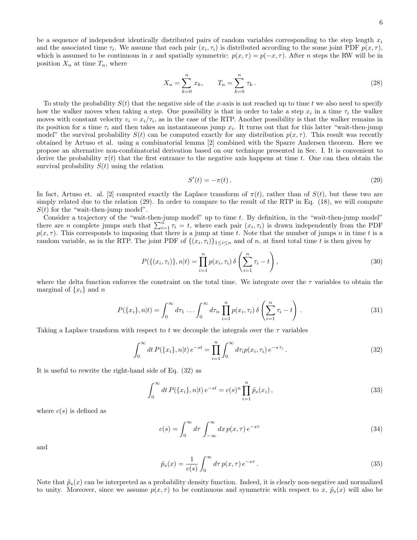be a sequence of independent identically distributed pairs of random variables corresponding to the step length  $x_i$ and the associated time  $\tau_i$ . We assume that each pair  $(x_i, \tau_i)$  is distributed according to the some joint PDF  $p(x, \tau)$ , which is assumed to be continuous in x and spatially symmetric:  $p(x, \tau) = p(-x, \tau)$ . After n steps the RW will be in position  $X_n$  at time  $T_n$ , where

$$
X_n = \sum_{k=0}^n x_k, \qquad T_n = \sum_{k=0}^n \tau_k.
$$
 (28)

To study the probability  $S(t)$  that the negative side of the x-axis is not reached up to time t we also need to specify how the walker moves when taking a step. One possibility is that in order to take a step  $x_i$  in a time  $\tau_i$  the walker moves with constant velocity  $v_i = x_i/\tau_i$ , as in the case of the RTP. Another possibility is that the walker remains in its position for a time  $\tau_i$  and then takes an instantaneous jump  $x_i$ . It turns out that for this latter "wait-then-jump model" the survival probability  $S(t)$  can be computed exactly for any distribution  $p(x, \tau)$ . This result was recently obtained by Artuso et al. using a combinatorial lemma [2] combined with the Sparre Andersen theorem. Here we propose an alternative non-combinatorial derivation based on our technique presented in Sec. I. It is convenient to derive the probability  $\pi(t)$  that the first entrance to the negative axis happens at time t. One can then obtain the survival probability  $S(t)$  using the relation

$$
S'(t) = -\pi(t). \tag{29}
$$

In fact, Artuso et. al. [2] computed exactly the Laplace transform of  $\pi(t)$ , rather than of  $S(t)$ , but these two are simply related due to the relation (29). In order to compare to the result of the RTP in Eq. (18), we will compute  $S(t)$  for the "wait-then-jump model".

Consider a trajectory of the "wait-then-jump model" up to time  $t$ . By definition, in the "wait-then-jump model" there are n complete jumps such that  $\sum_{i=1}^{n} \tau_i = t$ , where each pair  $(x_i, \tau_i)$  is drawn independently from the PDF  $p(x, \tau)$ . This corresponds to imposing that there is a jump at time t. Note that the number of jumps n in time t is a random variable, as in the RTP. The joint PDF of  $\{(x_i, \tau_i)\}_{1 \leq i \leq n}$  and of n, at fixed total time t is then given by

$$
P(\{(x_i, \tau_i)\}, n|t) = \prod_{i=1}^n p(x_i, \tau_i) \delta\left(\sum_{i=1}^n \tau_i - t\right),
$$
\n(30)

where the delta function enforces the constraint on the total time. We integrate over the  $\tau$  variables to obtain the marginal of  $\{x_i\}$  and n

$$
P(\{x_i\}, n|t) = \int_0^\infty d\tau_1 \dots \int_0^\infty d\tau_n \prod_{i=1}^n p(x_i, \tau_i) \, \delta\left(\sum_{i=1}^n \tau_i - t\right) \,. \tag{31}
$$

Taking a Laplace transform with respect to t we decouple the integrals over the  $\tau$  variables

$$
\int_0^\infty dt \, P(\{x_i\}, n|t) \, e^{-st} = \prod_{i=1}^n \int_0^\infty d\tau_i p(x_i, \tau_i) \, e^{-s \, \tau_i} \,. \tag{32}
$$

It is useful to rewrite the right-hand side of Eq. (32) as

$$
\int_0^\infty dt \, P(\{x_i\}, n|t) \, e^{-st} = c(s)^n \prod_{i=1}^n \tilde{p}_s(x_i) \,, \tag{33}
$$

where  $c(s)$  is defined as

$$
c(s) = \int_0^\infty d\tau \int_{-\infty}^\infty dx \, p(x,\tau) \, e^{-s\tau} \tag{34}
$$

and

$$
\tilde{p}_s(x) = \frac{1}{c(s)} \int_0^\infty d\tau \, p(x,\tau) \, e^{-s\tau} \,. \tag{35}
$$

Note that  $\tilde{p}_s(x)$  can be interpreted as a probability density function. Indeed, it is clearly non-negative and normalized to unity. Moreover, since we assume  $p(x, \tau)$  to be continuous and symmetric with respect to x,  $\tilde{p}_s(x)$  will also be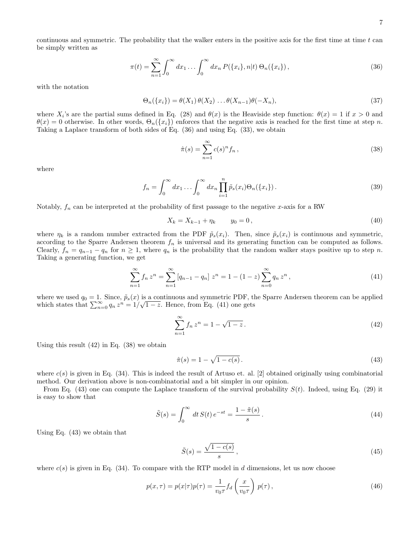continuous and symmetric. The probability that the walker enters in the positive axis for the first time at time  $t$  can be simply written as

$$
\pi(t) = \sum_{n=1}^{\infty} \int_0^{\infty} dx_1 \dots \int_0^{\infty} dx_n P(\{x_i\}, n|t) \Theta_n(\{x_i\}),
$$
\n(36)

with the notation

$$
\Theta_n(\lbrace x_i \rbrace) = \theta(X_1) \theta(X_2) \dots \theta(X_{n-1}) \theta(-X_n), \tag{37}
$$

where  $X_i$ 's are the partial sums defined in Eq. (28) and  $\theta(x)$  is the Heaviside step function:  $\theta(x) = 1$  if  $x > 0$  and  $\theta(x) = 0$  otherwise. In other words,  $\Theta_n({x_i})$  enforces that the negative axis is reached for the first time at step n. Taking a Laplace transform of both sides of Eq. (36) and using Eq. (33), we obtain

$$
\hat{\pi}(s) = \sum_{n=1}^{\infty} c(s)^n f_n , \qquad (38)
$$

where

$$
f_n = \int_0^\infty dx_1 \dots \int_0^\infty dx_n \prod_{i=1}^n \tilde{p}_s(x_i) \Theta_n(\{x_i\}).
$$
\n(39)

Notably,  $f_n$  can be interpreted at the probability of first passage to the negative x-axis for a RW

$$
X_k = X_{k-1} + \eta_k \qquad y_0 = 0, \tag{40}
$$

where  $\eta_k$  is a random number extracted from the PDF  $\tilde{p}_s(x_i)$ . Then, since  $\tilde{p}_s(x_i)$  is continuous and symmetric, according to the Sparre Andersen theorem  $f_n$  is universal and its generating function can be computed as follows. Clearly,  $f_n = q_{n-1} - q_n$  for  $n \ge 1$ , where  $q_n$  is the probability that the random walker stays positive up to step n. Taking a generating function, we get

$$
\sum_{n=1}^{\infty} f_n z^n = \sum_{n=1}^{\infty} \left[ q_{n-1} - q_n \right] z^n = 1 - (1 - z) \sum_{n=0}^{\infty} q_n z^n,
$$
\n(41)

where we used  $q_0 = 1$ . Since,  $\tilde{p}_s(x)$  is a continuous and symmetric PDF, the Sparre Andersen theorem can be applied which states that  $\sum_{n=0}^{\infty} q_n z^n = 1/\sqrt{1-z}$ . Hence, from Eq. (41) one gets

$$
\sum_{n=1}^{\infty} f_n z^n = 1 - \sqrt{1 - z} \,. \tag{42}
$$

Using this result  $(42)$  in Eq.  $(38)$  we obtain

$$
\hat{\pi}(s) = 1 - \sqrt{1 - c(s)}.
$$
\n(43)

where  $c(s)$  is given in Eq. (34). This is indeed the result of Artuso et. al. [2] obtained originally using combinatorial method. Our derivation above is non-combinatorial and a bit simpler in our opinion.

From Eq. (43) one can compute the Laplace transform of the survival probability  $S(t)$ . Indeed, using Eq. (29) it is easy to show that

$$
\tilde{S}(s) = \int_0^\infty dt \, S(t) \, e^{-st} = \frac{1 - \tilde{\pi}(s)}{s} \,. \tag{44}
$$

Using Eq. (43) we obtain that

$$
\tilde{S}(s) = \frac{\sqrt{1 - c(s)}}{s},\tag{45}
$$

where  $c(s)$  is given in Eq. (34). To compare with the RTP model in d dimensions, let us now choose

$$
p(x,\tau) = p(x|\tau)p(\tau) = \frac{1}{v_0\tau} f_d\left(\frac{x}{v_0\tau}\right) p(\tau),
$$
\n(46)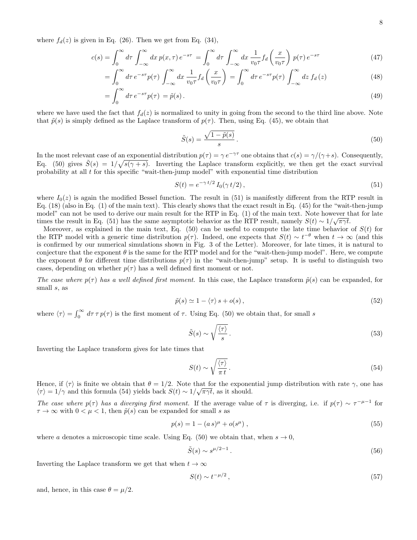where  $f_d(z)$  is given in Eq. (26). Then we get from Eq. (34),

$$
c(s) = \int_0^\infty d\tau \int_{-\infty}^\infty dx \, p(x,\tau) \, e^{-s\tau} = \int_0^\infty d\tau \int_{-\infty}^\infty dx \, \frac{1}{v_0 \tau} f_d\left(\frac{x}{v_0 \tau}\right) \, p(\tau) \, e^{-s\tau} \tag{47}
$$

$$
= \int_0^\infty d\tau \, e^{-s\tau} p(\tau) \int_{-\infty}^\infty dx \, \frac{1}{v_0 \tau} f_d\left(\frac{x}{v_0 \tau}\right) = \int_0^\infty d\tau \, e^{-s\tau} p(\tau) \int_{-\infty}^\infty dz \, f_d\left(z\right) \tag{48}
$$

$$
=\int_0^\infty d\tau \, e^{-s\tau} p(\tau) = \tilde{p}(s) \,. \tag{49}
$$

where we have used the fact that  $f_d(z)$  is normalized to unity in going from the second to the third line above. Note that  $\tilde{p}(s)$  is simply defined as the Laplace transform of  $p(\tau)$ . Then, using Eq. (45), we obtain that

$$
\tilde{S}(s) = \frac{\sqrt{1 - \tilde{p}(s)}}{s} \,. \tag{50}
$$

In the most relevant case of an exponential distribution  $p(\tau) = \gamma e^{-\gamma \tau}$  one obtains that  $c(s) = \gamma/(\gamma + s)$ . Consequently, Eq. (50) gives  $\tilde{S}(s) = 1/\sqrt{s(\gamma + s)}$ . Inverting the Laplace transform explicitly, we then get the exact survival probability at all  $t$  for this specific "wait-then-jump model" with exponential time distribution

$$
S(t) = e^{-\gamma t/2} I_0(\gamma t/2), \qquad (51)
$$

where  $I_0(z)$  is again the modified Bessel function. The result in (51) is manifestly different from the RTP result in Eq. (18) (also in Eq. (1) of the main text). This clearly shows that the exact result in Eq. (45) for the "wait-then-jump model" can not be used to derive our main result for the RTP in Eq. (1) of the main text. Note however that for late times the result in Eq. (51) has the same asymptotic behavior as the RTP result, namely  $S(t) \sim 1/\sqrt{\pi \gamma t}$ .

Moreover, as explained in the main text, Eq. (50) can be useful to compute the late time behavior of  $S(t)$  for the RTP model with a generic time distribution  $p(\tau)$ . Indeed, one expects that  $S(t) \sim t^{-\theta}$  when  $t \to \infty$  (and this is confirmed by our numerical simulations shown in Fig. 3 of the Letter). Moreover, for late times, it is natural to conjecture that the exponent  $\theta$  is the same for the RTP model and for the "wait-then-jump model". Here, we compute the exponent  $\theta$  for different time distributions  $p(\tau)$  in the "wait-then-jump" setup. It is useful to distinguish two cases, depending on whether  $p(\tau)$  has a well defined first moment or not.

The case where  $p(\tau)$  has a well defined first moment. In this case, the Laplace transform  $\tilde{p}(s)$  can be expanded, for small s, as

$$
\tilde{p}(s) \simeq 1 - \langle \tau \rangle s + o(s),\tag{52}
$$

where  $\langle \tau \rangle = \int_0^\infty d\tau \tau p(\tau)$  is the first moment of  $\tau$ . Using Eq. (50) we obtain that, for small s

$$
\tilde{S}(s) \sim \sqrt{\frac{\langle \tau \rangle}{s}}.
$$
\n(53)

Inverting the Laplace transform gives for late times that

$$
S(t) \sim \sqrt{\frac{\langle \tau \rangle}{\pi t}}.
$$
\n(54)

Hence, if  $\langle \tau \rangle$  is finite we obtain that  $\theta = 1/2$ . Note that for the exponential jump distribution with rate  $\gamma$ , one has  $\langle \tau \rangle = 1/\gamma$  and this formula (54) yields back  $S(t) \sim 1/\sqrt{\pi \gamma t}$ , as it should.

The case where  $p(\tau)$  has a diverging first moment. If the average value of  $\tau$  is diverging, i.e. if  $p(\tau) \sim \tau^{-\mu-1}$  for  $\tau \to \infty$  with  $0 < \mu < 1$ , then  $\tilde{p}(s)$  can be expanded for small s as

$$
p(s) = 1 - (a s)^{\mu} + o(s^{\mu}), \qquad (55)
$$

where a denotes a microscopic time scale. Using Eq. (50) we obtain that, when  $s \to 0$ ,

$$
\tilde{S}(s) \sim s^{\mu/2 - 1} \,. \tag{56}
$$

Inverting the Laplace transform we get that when  $t \to \infty$ 

$$
S(t) \sim t^{-\mu/2},\tag{57}
$$

and, hence, in this case  $\theta = \mu/2$ .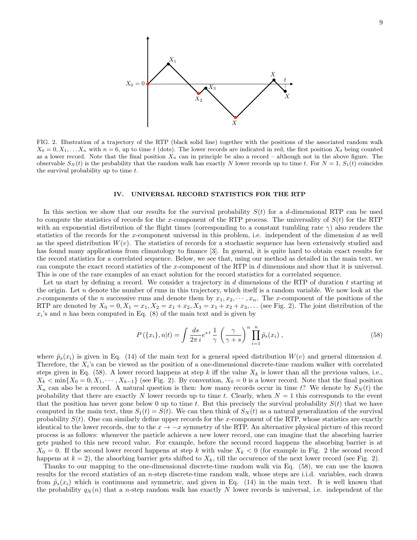

FIG. 2. Illustration of a trajectory of the RTP (black solid line) together with the positions of the associated random walk  $X_0 = 0, X_1, \ldots, X_n$  with  $n = 6$ , up to time t (dots). The lower records are indicated in red, the first position  $X_0$  being counted as a lower record. Note that the final position  $X_n$  can in principle be also a record – although not in the above figure. The observable  $S_N(t)$  is the probability that the random walk has exactly N lower records up to time t. For  $N = 1$ ,  $S_1(t)$  coincides the survival probability up to time t.

#### IV. UNIVERSAL RECORD STATISTICS FOR THE RTP

In this section we show that our results for the survival probability  $S(t)$  for a d-dimensional RTP can be used to compute the statistics of records for the x-component of the RTP process. The universality of  $S(t)$  for the RTP with an exponential distribution of the flight times (corresponding to a constant tumbling rate  $\gamma$ ) also renders the statistics of the records for the x-component universal in this problem, i.e. independent of the dimension  $d$  as well as the speed distribution  $W(v)$ . The statistics of records for a stochastic sequence has been extensively studied and has found many applications from climatology to finance [3]. In general, it is quite hard to obtain exact results for the record statistics for a correlated sequence. Below, we see that, using our method as detailed in the main text, we can compute the exact record statistics of the x-component of the RTP in d dimensions and show that it is universal. This is one of the rare examples of an exact solution for the record statistics for a correlated sequence.

Let us start by defining a record. We consider a trajectory in d dimensions of the RTP of duration t starting at the origin. Let  $n$  denote the number of runs in this trajectory, which itself is a random variable. We now look at the x-components of the n successive runs and denote them by  $x_1, x_2, \dots, x_n$ . The x-component of the positions of the RTP are denoted by  $X_0 = 0, X_1 = x_1, X_2 = x_1 + x_2, X_3 = x_1 + x_2 + x_3, ...$  (see Fig. 2). The joint distribution of the  $x_i$ 's and n has been computed in Eq. (8) of the main text and is given by

$$
P(\{x_i\}, n|t) = \int \frac{ds}{2\pi i} e^{st} \frac{1}{\gamma} \left(\frac{\gamma}{\gamma + s}\right)^n \prod_{i=1}^n \tilde{p}_s(x_i) , \qquad (58)
$$

where  $\tilde{p}_s(x_i)$  is given in Eq. (14) of the main text for a general speed distribution  $W(v)$  and general dimension d. Therefore, the  $X_i$ 's can be viewed as the position of a one-dimensional discrete-time random walker with correlated steps given in Eq. (58). A lower record happens at step k iff the value  $X_k$  is lower than all the previous values, i.e.,  $X_k < \min\{X_0 = 0, X_1, \cdots, X_{k-1}\}\$  (see Fig. 2). By convention,  $X_0 = 0$  is a lower record. Note that the final position  $X_n$  can also be a record. A natural question is then: how many records occur in time t? We denote by  $S_N(t)$  the probability that there are exactly N lower records up to time t. Clearly, when  $N = 1$  this corresponds to the event that the position has never gone below 0 up to time t. But this precisely the survival probability  $S(t)$  that we have computed in the main text, thus  $S_1(t) = S(t)$ . We can then think of  $S_N(t)$  as a natural generalization of the survival probability  $S(t)$ . One can similarly define upper records for the x-component of the RTP, whose statistics are exactly identical to the lower records, due to the  $x \to -x$  symmetry of the RTP. An alternative physical picture of this record process is as follows: whenever the particle achieves a new lower record, one can imagine that the absorbing barrier gets pushed to this new record value. For example, before the second record happens the absorbing barrier is at  $X_0 = 0$ . If the second lower record happens at step k with value  $X_k < 0$  (for example in Fig. 2 the second record happens at  $k = 2$ ), the absorbing barrier gets shifted to  $X_k$ , till the occurence of the next lower record (see Fig. 2).

Thanks to our mapping to the one-dimensional discrete-time random walk via Eq. (58), we can use the known results for the record statistics of an n-step discrete-time random walk, whose steps are i.i.d. variables, each drawn from  $\tilde{p}_s(x_i)$  which is continuous and symmetric, and given in Eq. (14) in the main text. It is well known that the probability  $q_N(n)$  that a n-step random walk has exactly N lower records is universal, i.e. independent of the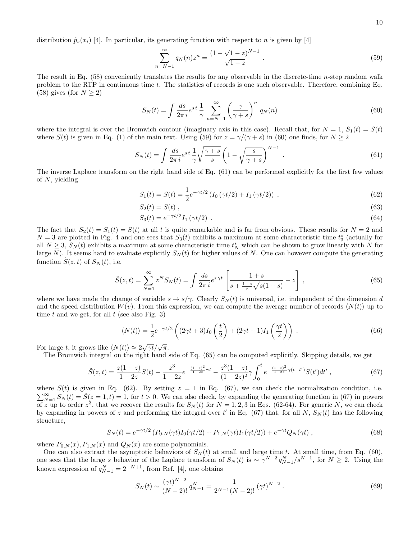distribution  $\tilde{p}_s(x_i)$  [4]. In particular, its generating function with respect to n is given by [4]

$$
\sum_{n=N-1}^{\infty} q_N(n) z^n = \frac{(1 - \sqrt{1 - z})^{N-1}}{\sqrt{1 - z}}.
$$
\n(59)

The result in Eq. (58) conveniently translates the results for any observable in the discrete-time n-step random walk problem to the RTP in continuous time  $t$ . The statistics of records is one such observable. Therefore, combining Eq. (58) gives (for  $N \geq 2$ )

$$
S_N(t) = \int \frac{ds}{2\pi i} e^{st} \frac{1}{\gamma} \sum_{n=N-1}^{\infty} \left(\frac{\gamma}{\gamma + s}\right)^n q_N(n) \tag{60}
$$

where the integral is over the Bromwich contour (imaginary axis in this case). Recall that, for  $N = 1$ ,  $S_1(t) = S(t)$ where  $S(t)$  is given in Eq. (1) of the main text. Using (59) for  $z = \gamma/(\gamma + s)$  in (60) one finds, for  $N \ge 2$ 

$$
S_N(t) = \int \frac{ds}{2\pi i} e^{st} \frac{1}{\gamma} \sqrt{\frac{\gamma + s}{s}} \left( 1 - \sqrt{\frac{s}{\gamma + s}} \right)^{N-1} . \tag{61}
$$

The inverse Laplace transform on the right hand side of Eq. (61) can be performed explicitly for the first few values of  $N$ , yielding

$$
S_1(t) = S(t) = \frac{1}{2} e^{-\gamma t/2} \left( I_0 \left( \gamma t/2 \right) + I_1 \left( \gamma t/2 \right) \right) , \qquad (62)
$$

$$
S_2(t) = S(t) \tag{63}
$$

$$
S_3(t) = e^{-\gamma t/2} I_1(\gamma t/2) \tag{64}
$$

The fact that  $S_2(t) = S_1(t) = S(t)$  at all t is quite remarkable and is far from obvious. These results for  $N = 2$  and  $N=3$  are plotted in Fig. 4 and one sees that  $S_3(t)$  exhibits a maximum at some characteristic time  $t_3^*$  (actually for all  $N \geq 3$ ,  $S_N(t)$  exhibits a maximum at some characteristic time  $t_N^*$  which can be shown to grow linearly with N for large N). It seems hard to evaluate explicitly  $S_N(t)$  for higher values of N. One can however compute the generating function  $\tilde{S}(z, t)$  of  $S_N(t)$ , i.e.

$$
\tilde{S}(z,t) = \sum_{N=1}^{\infty} z^N S_N(t) = \int \frac{ds}{2\pi i} e^{s\gamma t} \left[ \frac{1+s}{s + \frac{1-z}{z}\sqrt{s(1+s)}} - z \right],
$$
\n(65)

where we have made the change of variable  $s \to s/\gamma$ . Clearly  $S_N(t)$  is universal, i.e. independent of the dimension d and the speed distribution  $W(v)$ . From this expression, we can compute the average number of records  $\langle N(t) \rangle$  up to time t and we get, for all t (see also Fig. 3)

$$
\langle N(t) \rangle = \frac{1}{2} e^{-\gamma t/2} \left( (2\gamma t + 3) I_0 \left( \frac{t}{2} \right) + (2\gamma t + 1) I_1 \left( \frac{\gamma t}{2} \right) \right) . \tag{66}
$$

For large t, it grows like  $\langle N(t) \rangle \approx 2\sqrt{\gamma t}/\sqrt{\pi}$ .

The Bromwich integral on the right hand side of Eq. (65) can be computed explicitly. Skipping details, we get

$$
\tilde{S}(z,t) = \frac{z(1-z)}{1-2z}S(t) - \frac{z^3}{1-2z}e^{-\frac{(1-z)^2}{1-2z}\gamma t} - \frac{z^3(1-z)}{(1-2z)^2}\gamma \int_0^t e^{-\frac{(1-z)^2}{1-2z}\gamma(t-t')}S(t')dt',\tag{67}
$$

where  $S(t)$  is given in Eq. (62). By setting  $z = 1$  in Eq. (67), we can check the normalization condition, i.e.  $\sum_{N=1}^{\infty} S_N(t) = \tilde{S}(z=1,t) = 1$ , for  $t > 0$ . We can also check, by expanding the generating function in (67) in powers of z up to order  $z^3$ , that we recover the results for  $S_N(t)$  for  $N = 1, 2, 3$  in Eqs. (62-64). For generic N, we can check by expanding in powers of z and performing the integral over t' in Eq. (67) that, for all N,  $S_N(t)$  has the following structure,

$$
S_N(t) = e^{-\gamma t/2} \left( P_{0,N}(\gamma t) I_0(\gamma t/2) + P_{1,N}(\gamma t) I_1(\gamma t/2) \right) + e^{-\gamma t} Q_N(\gamma t) , \qquad (68)
$$

where  $P_{0,N}(x), P_{1,N}(x)$  and  $Q_N(x)$  are some polynomials.

One can also extract the asymptotic behaviors of  $S_N(t)$  at small and large time t. At small time, from Eq. (60), one sees that the large s behavior of the Laplace transform of  $S_N(t)$  is  $\sim \gamma^{N-2} q_{N-1}^N/s^{N-1}$ , for  $N \geq 2$ . Using the known expression of  $q_{N-1}^N = 2^{-N+1}$ , from Ref. [4], one obtains

$$
S_N(t) \sim \frac{(\gamma t)^{N-2}}{(N-2)!} q_{N-1}^N = \frac{1}{2^{N-1}(N-2)!} (\gamma t)^{N-2} . \tag{69}
$$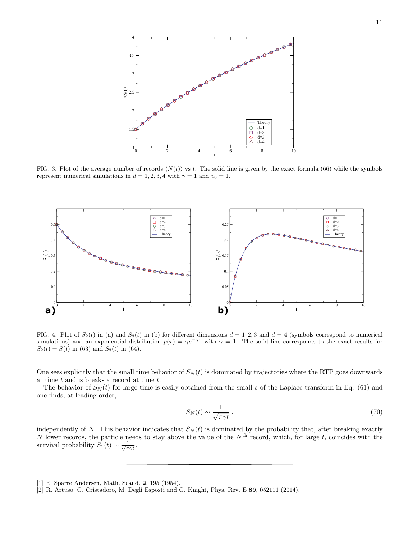

FIG. 3. Plot of the average number of records  $\langle N(t) \rangle$  vs t. The solid line is given by the exact formula (66) while the symbols represent numerical simulations in  $d = 1, 2, 3, 4$  with  $\gamma = 1$  and  $v_0 = 1$ .



FIG. 4. Plot of  $S_2(t)$  in (a) and  $S_3(t)$  in (b) for different dimensions  $d = 1, 2, 3$  and  $d = 4$  (symbols correspond to numerical simulations) and an exponential distribution  $p(\tau) = \gamma e^{-\gamma \tau}$  with  $\gamma = 1$ . The solid line corresponds to the exact results for  $S_2(t) = S(t)$  in (63) and  $S_3(t)$  in (64).

One sees explicitly that the small time behavior of  $S_N(t)$  is dominated by trajectories where the RTP goes downwards at time  $t$  and is breaks a record at time  $t$ .

The behavior of  $S_N(t)$  for large time is easily obtained from the small s of the Laplace transform in Eq. (61) and one finds, at leading order,

$$
S_N(t) \sim \frac{1}{\sqrt{\pi \gamma t}} \,,\tag{70}
$$

independently of N. This behavior indicates that  $S_N(t)$  is dominated by the probability that, after breaking exactly N lower records, the particle needs to stay above the value of the  $N<sup>th</sup>$  record, which, for large t, coincides with the survival probability  $S_1(t) \sim \frac{1}{\sqrt{\pi \gamma t}}$ .

<sup>[1]</sup> E. Sparre Andersen, Math. Scand. 2, 195 (1954).

<sup>[2]</sup> R. Artuso, G. Cristadoro, M. Degli Esposti and G. Knight, Phys. Rev. E 89, 052111 (2014).